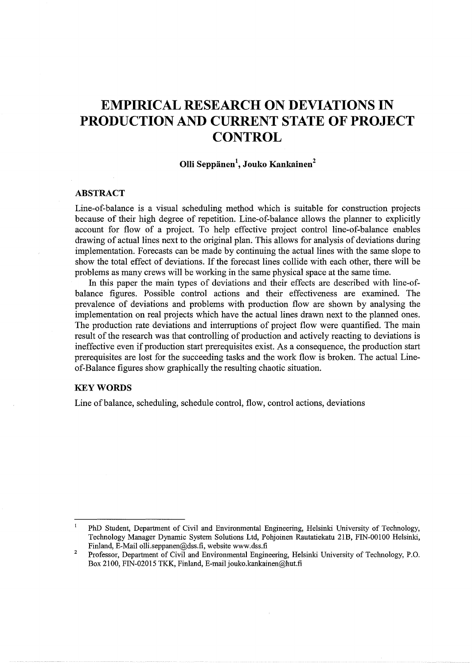# **EMPIRICAL RESEARCH ON DEVIATIONS IN PRODUCTION AND CURRENT STATE OF PROJECT CONTROL**

## **Olli Seppanen<sup>1</sup> , Jouko Kankainen<sup>2</sup>**

## **ABSTRACT**

Line-of-balance is a visual scheduling method which is suitable for construction projects because of their high degree of repetition. Line-of-balance allows the planner to explicitly account for flow of a project. To help effective project control line-of-balance enables drawing of actual lines next to the original plan. This allows for analysis of deviations during implementation. Forecasts can be made by continuing the actual lines with the same slope to show the total effect of deviations. If the forecast lines collide with each other, there will be problems as many crews will be working in the same physical space at the same time.

In this paper the main types of deviations and their effects are described with line-ofbalance figures. Possible control actions and their effectiveness are examined. The prevalence of deviations and problems with production flow are shown by analysing the implementation on real projects which have the actual lines drawn next to the planned ones. The production rate deviations and interruptions of project flow were quantified. The main result of the research was that controlling of production and actively reacting to deviations is ineffective even if production start prerequisites exist. As a consequence, the production start prerequisites are lost for the succeeding tasks and the work flow is broken. The actual Lineof-Balance figures show graphically the resulting chaotic situation.

#### **KEYWORDS**

Line of balance, scheduling, schedule control, flow, control actions, deviations

 $\mathbf{I}$ PhD Student, Department of Civil and Environmental Engineering, Helsinki University of Technology, Technology Manager Dynamic System Solutions Ltd, Pohjoinen Rautatiekatu 21B, FIN-00100 Helsinki, Finland, E-Mail olli.seppanen@dss.fi, website www.dss.fi

 $\overline{2}$ Professor, Department of Civil and Environmental Engineering, Helsinki University of Technology, P.O. Box 2100, FIN-02015 TKK, Finland, E-mail jouko.kankainen@hut.fi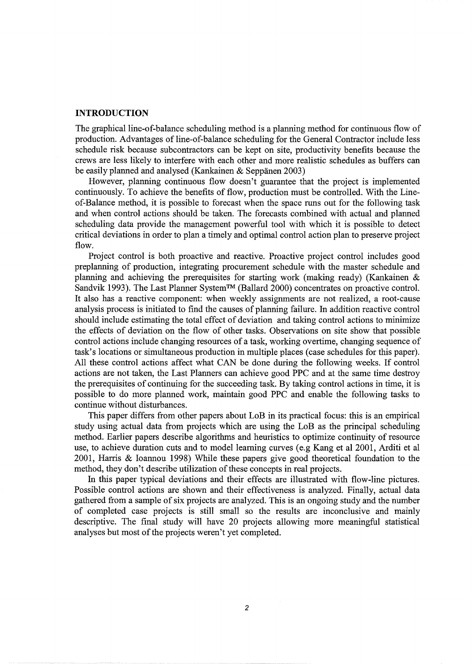#### **INTRODUCTION**

The graphical line-of-balance scheduling method is a planning method for continuous flow of production. Advantages of line-of-balance scheduling for the General Contractor include less schedule risk because subcontractors can be kept on site, productivity benefits because the crews are less likely to interfere with each other and more realistic schedules as buffers can be easily planned and analysed (Kankainen & Seppanen 2003)

However, planning continuous flow doesn't guarantee that the project is implemented continuously. To achieve the benefits of flow, production must be controlled. With the Lineof-Balance method, it is possible to forecast when the space runs out for the following task and when control actions should be taken. The forecasts combined with actual and planned scheduling data provide the management powerful tool with which it is possible to detect critical deviations in order to plan a timely and optimal control action plan to preserve project flow.

Project control is both proactive and reactive. Proactive project control includes good preplanning of production, integrating procurement schedule with the master schedule and planning and achieving the prerequisites for starting work (making ready) (Kankainen & Sandvik 1993). The Last Planner System™ (Ballard 2000) concentrates on proactive control. It also has a reactive component: when weekly assignments are not realized, a root-cause analysis process is initiated to find the causes of planning failure. In addition reactive control should include estimating the total effect of deviation and taking control actions to minimize the effects of deviation on the flow of other tasks. Observations on site show that possible control actions include changing resources of a task, working overtime, changing sequence of task's locations or simultaneous production in multiple places (case schedules for this paper). All these control actions affect what CAN be done during the following weeks. If control actions are not taken, the Last Planners can achieve good PPC and at the same time destroy the prerequisites of continuing for the succeeding task. By taking control actions in time, it is possible to do more planned work, maintain good PPC and enable the following tasks to continue without disturbances.

This paper differs from other papers about LoB in its practical focus: this is an empirical study using actual data from projects which are using the LoB as the principal scheduling method. Earlier papers describe algorithms and heuristics to optimize continuity of resource use, to achieve duration cuts and to model learning curves (e.g Kang et al 2001, Arditi et al 2001, Harris & Ioannou 1998) While these papers give good theoretical foundation to the method, they don't describe utilization of these concepts in real projects.

In this paper typical deviations and their effects are illustrated with flow-line pictures. Possible control actions are shown and their effectiveness is analyzed. Finally, actual data gathered from a sample of six projects are analyzed. This is an ongoing study and the number of completed case projects is still small so the results are inconclusive and mainly descriptive. The final study will have 20 projects allowing more meaningful statistical analyses but most of the projects weren't yet completed.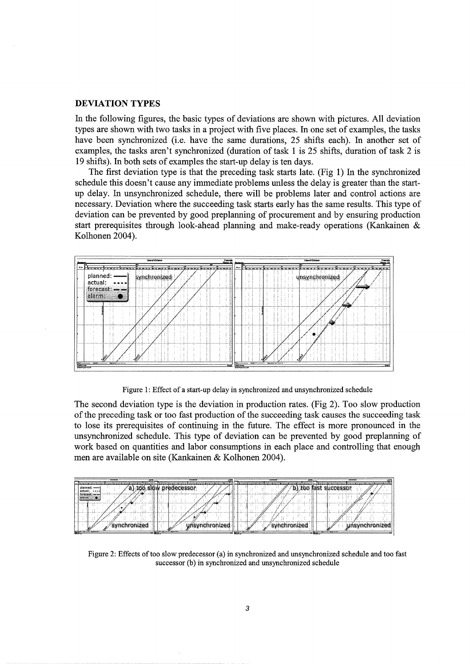#### **DEVIATION TYPES**

In the following figures, the basic types of deviations are shown with pictures. All deviation types are shown with two tasks in a project with five places. In one set of examples, the tasks have been synchronized (i.e. have the same durations, 25 shifts each). In another set of examples, the tasks aren't synchronized (duration of task 1 is 25 shifts, duration of task 2 is 19 shifts). In both sets of examples the start-up delay is ten days.

The first deviation type is that the preceding task starts late. (Fig 1) In the synchronized schedule this doesn't cause any immediate problems unless the delay is greater than the startup delay. In unsynchronized schedule, there will be problems later and control actions are necessary. Deviation where the succeeding task starts early has the same results. This type of deviation can be prevented by good preplanning of procurement and by ensuring production start prerequisites through look-ahead planning and make-ready operations (Kankainen & Kolhonen 2004).



Figure 1: Effect of a start-up delay in synchronized and unsynchronized schedule

The second deviation type is the deviation in production rates. (Fig 2). Too slow production of the preceding task or too fast production of the succeeding task causes the succeeding task to lose its prerequisites of continuing in the future. The effect is more pronounced in the unsynchronized schedule. This type of deviation can be prevented by good preplanning of work based on quantities and labor consumptions in each place and controlling that enough men are available on site (Kankainen & Kolhonen 2004).

| <b>THE REAL PROPERTY</b><br>a series de | w<br>Æ                                                  | <b>Local More</b><br>≕       | <b>Confirmed</b>                                                                          |
|-----------------------------------------|---------------------------------------------------------|------------------------------|-------------------------------------------------------------------------------------------|
| <b>COLORADO DE</b>                      | The company's the company's<br><b>PERSONAL PROPERTY</b> | <b>CONTRACTOR</b>            | the computation of the computation of the second computation of computation of the second |
| planned:<br>actual:<br>$-0.000$         | predecessor                                             | <b>TOO</b>                   | m                                                                                         |
| forecast;<br>alarm.                     |                                                         |                              |                                                                                           |
|                                         | حس                                                      |                              |                                                                                           |
|                                         |                                                         |                              |                                                                                           |
| wnchronized                             | <i>nsvnehronized</i>                                    | $ \frac{1}{2}$ $\frac{1}{2}$ | <b>hronize</b>                                                                            |
| <b>Report Follows</b>                   | <b>Service Address of the American</b>                  |                              | The Washington                                                                            |

Figure 2: Effects of too slow predecessor (a) in synchronized and unsynchronized schedule and too fast successor (b) in synchronized and unsynchronized schedule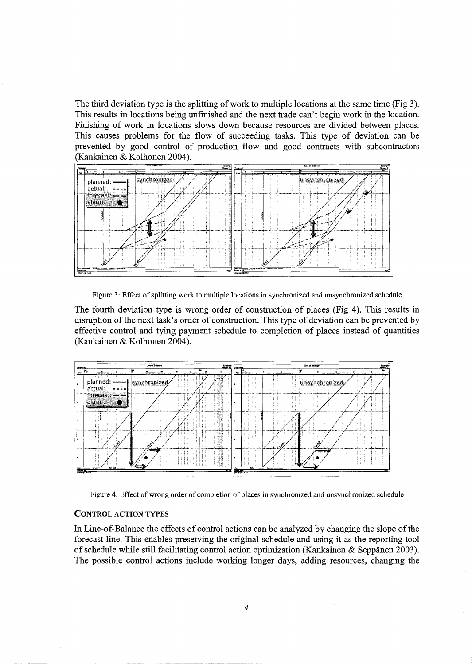The third deviation type is the splitting of work to multiple locations at the same time (Fig 3). This results in locations being unfinished and the next trade can't begin work in the location. Finishing of work in locations slows down because resources are divided between places. This causes problems for the flow of succeeding tasks. This type of deviation can be prevented by good control of production flow and good contracts with subcontractors (Kankainen & Kolhonen 2004).



Figure 3: Effect of splitting work to multiple locations in synchronized and unsynchronized schedule

The fourth deviation type is wrong order of construction of places (Fig 4). This results in disruption of the next task's order of construction. This type of deviation can be prevented by effective control and tying payment schedule to completion of places instead of quantities (Kankainen & Kolhonen 2004).



Figure 4: Effect of wrong order of completion of places in synchronized and unsynchronized schedule

#### **CONTROL** ACTION TYPES

In Line-of-Balance the effects of control actions can be analyzed by changing the slope of the forecast line. This enables preserving the original schedule and using it as the reporting tool of schedule while still facilitating control action optimization (Kankainen & Seppänen 2003). The possible control actions include working longer days, adding resources, changing the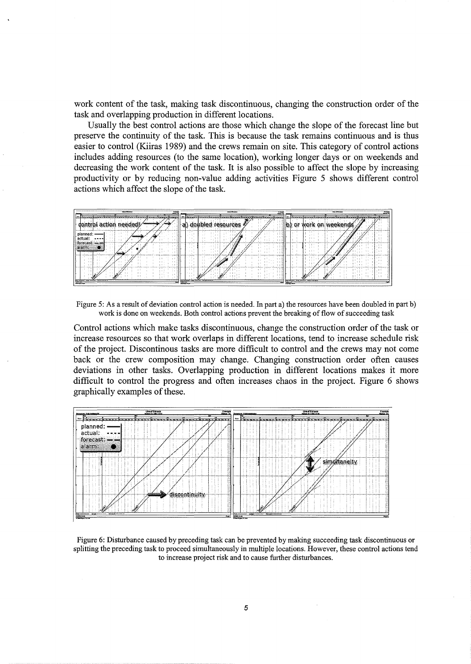work content of the task, making task discontinuous, changing the construction order of the task and overlapping production in different locations.

Usually the best control actions are those which change the slope of the forecast line but preserve the continuity of the task. This is because the task remains continuous and is thus easier to control (Kiiras 1989) and the crews remain on site. This category of control actions includes adding resources (to the same location), working longer days or on weekends and decreasing the work content of the task. It is also possible to affect the slope by increasing productivity or by reducing non-value adding activities Figure 5 shows different control actions which affect the slope of the task.



Figure 5: As a result of deviation control action is needed. In part a) the resources have been doubled in part b) work is done on weekends. Both control actions prevent the breaking of flow of succeeding task

Control actions which make tasks discontinuous, change the construction order of the task or increase resources so that work overlaps in different locations, tend to increase schedule risk of the project. Discontinous tasks are more difficult to control and the crews may not come back or the crew composition may change. Changing construction order often causes deviations in other tasks. Overlapping production in different locations makes it more difficult to control the progress and often increases chaos in the project. Figure 6 shows graphically examples of these.



Figure 6: Disturbance caused by preceding task can be prevented by making succeeding task discontinuous or splitting the preceding task to proceed simultaneously in multiple locations. However, these control actions tend to increase project risk and to cause further disturbances.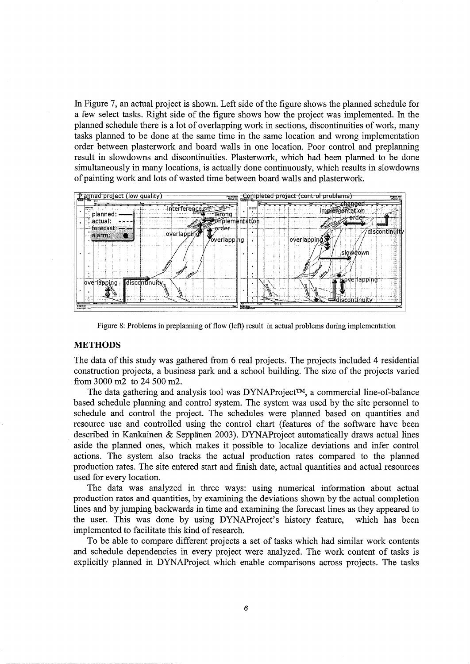In Figure 7, an actual project is shown. Left side of the figure shows the planned schedule for a few select tasks. Right side of the figure shows how the project was implemented. In the planned schedule there is a lot of overlapping work in sections, discontinuities of work, many tasks planned to be done at the same time in the same location and wrong implementation order between plasterwork and board walls in one location. Poor control and preplanning result in slowdowns and discontinuities. Plasterwork, which had been planned to be done simultaneously in many locations, is actually done continuously, which results in slowdowns of painting work and lots of wasted time between board walls and plasterwork.



Figure 8: Problems in preplanning of flow (left) result in actual problems during implementation

## **METHODS**

The data of this study was gathered from 6 real projects. The projects included 4 residential construction projects, a business park and a school building. The size of the projects varied from 3000 m2 to 24 500m2.

The data gathering and analysis tool was DYNAProject™, a commercial line-of-balance based schedule planning and control system. The system was used by the site personnel to schedule and control the project. The schedules were planned based on quantities and resource use and controlled using the control chart (features of the software have been described in Kankainen & Seppänen 2003). DYNAProject automatically draws actual lines aside the planned ones, which makes it possible to localize deviations and infer control actions. The system also tracks the actual production rates compared to the planned production rates. The site entered start and finish date, actual quantities and actual resources used for every location.

The data was analyzed in three ways: using numerical information about actual production rates and quantities, by examining the deviations shown by the actual completion lines and by jumping backwards in time and examining the forecast lines as they appeared to the user. This was done by using DYNAProject's history feature, which has been implemented to facilitate this kind of research.

To be able to compare different projects a set of tasks which had similar work contents and schedule dependencies in every project were analyzed. The work content of tasks is explicitly planned in DYNAProject which enable comparisons across projects. The tasks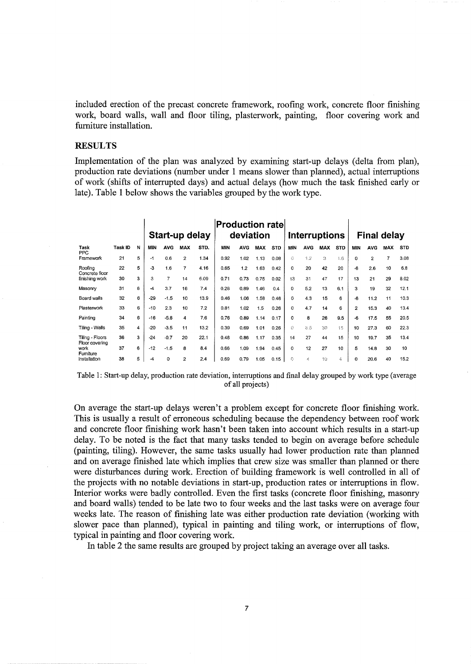included erection of the precast concrete framework, roofing work, concrete floor finishing work, board walls, wall and floor tiling, plasterwork, painting, floor covering work and furniture installation.

#### **RESULTS**

Implementation of the plan was analyzed by examining start-up delays (delta from plan), production rate deviations (number under 1 means slower than planned), actual interruptions of work (shifts of interrupted days) and actual delays (how much the task finished early or late). Table 1 below shows the variables grouped by the work type.

|                                     |         |   |              |                | Start-up delay |      | Production rate <br>deviation |            |            |            |              |            | <b>Interruptions</b> |            | <b>Final delay</b> |                |            |            |  |  |
|-------------------------------------|---------|---|--------------|----------------|----------------|------|-------------------------------|------------|------------|------------|--------------|------------|----------------------|------------|--------------------|----------------|------------|------------|--|--|
| Task<br>PPC                         | Task ID | N | MIN          | <b>AVG</b>     | <b>MAX</b>     | STD. | MIN                           | <b>AVG</b> | <b>MAX</b> | <b>STD</b> | <b>MIN</b>   | <b>AVG</b> | <b>MAX</b>           | <b>STD</b> | <b>MIN</b>         | <b>AVG</b>     | <b>MAX</b> | <b>STD</b> |  |  |
| Framework                           | 21      | 5 | $-1$         | 0.6            | 2              | 1.34 | 0.92                          | 1.02       | 1.13       | 0.08       | 0            | 1.2        | ä                    | 1.6        | 0                  | $\overline{2}$ | 7          | 3.08       |  |  |
| Roofing<br>Concrete floor           | 22      | 5 | $\mathbf{3}$ | 1.6            | 7              | 4.16 | 0.65                          | 1.2        | 1.63       | 0.42       | 0            | 20         | 42                   | 20         | -ĥ                 | 2.6            | 10         | 6.8        |  |  |
| finishing work                      | 30      | 3 | 3            | $\overline{7}$ | 14             | 6.09 | 0.71                          | 0.73       | 0.75       | 0.02       | 13           | 31         | 47                   | 17         | 13                 | 21             | 29         | 8.02       |  |  |
| Masonry                             | 31      | 6 | $-4$         | 3.7            | 16             | 7.4  | 0.28                          | 0.89       | 1.46       | 0.4        | 0            | 5.2        | 13                   | 6.1        | 3                  | 19             | 32         | 12.1       |  |  |
| Board walls                         | 32      | 6 | $-29$        | $-1.5$         | 10             | 13.9 | 0.46                          | 1.06       | 1.58       | 0.46       | 0            | 4.3        | 15                   | 6          | $-6$               | 11.2           | 11         | 10.3       |  |  |
| Plasterwork                         | 33      | 6 | $-10$        | 2.3            | 10             | 7.2  | 0.81                          | 1.02       | 1.5        | 0.26       | $\mathbf{o}$ | 4.7        | 14                   | 6          | $\overline{2}$     | 15.3           | 40         | 13.4       |  |  |
| Painting                            | 34      | 6 | $-16$        | $-5.8$         | 4              | 7.6  | 0.76                          | 0.89       | 1.14       | 0.17       | 0            | 8          | 26                   | 9.5        | $-6$               | 17.5           | 55         | 20.5       |  |  |
| Tiling - Walls                      | 35      | 4 | $-20$        | $-3.5$         | 11             | 13.2 | 0.39                          | 0.69       | 1.01       | 0.26       | Ű            | 8.3        | 30                   | 15         | 10                 | 27.3           | 60         | 22.3       |  |  |
| Tiling - Floors                     | 36      | 3 | $-24$        | $-0.7$         | 20             | 22.1 | 0.48                          | 0.86       | 1.17       | 0.35       | 14           | 27         | 44                   | 15         | 10                 | 19.7           | 35         | 13.4       |  |  |
| Floor covering<br>work<br>Furniture | 37      | 6 | $-12$        | $-1.5$         | 8              | 8.4  | 0.66                          | 1.09       | 1.94       | 0.45       | 0            | 12         | 27                   | 10         | 5                  | 14.8           | 30         | 10         |  |  |
| installation                        | 38      | 5 | -4           | 0              | 2              | 2.4  | 0.69                          | 0.79       | 1.05       | 0.15       | f)           | đ.         | 10                   | 4.         | 0                  | 20.6           | 40         | 15.2       |  |  |

Table 1: Start-up delay, production rate deviation, interruptions and final delay grouped by work type (average of all projects)

On average the start-up delays weren't a problem except for concrete floor finishing work. This is usually a result of erroneous scheduling because the dependency between roof work and concrete floor finishing work hasn't been taken into account which results in a start-up delay. To be noted is the fact that many tasks tended to begin on average before schedule (painting, tiling). However, the same tasks usually had lower production rate than planned and on average finished late which implies that crew size was smaller than planned or there were disturbances during work. Erection of building framework is well controlled in all of the projects with no notable deviations in start-up, production rates or interruptions in flow. Interior works were badly controlled. Even the first tasks (concrete floor finishing, masonry and board walls) tended to be late two to four weeks and the last tasks were on average four weeks late. The reason of finishing late was either production rate deviation (working with slower pace than planned), typical in painting and tiling work, or interruptions of flow, typical in painting and floor covering work.

In table 2 the same results are grouped by project taking an average over all tasks.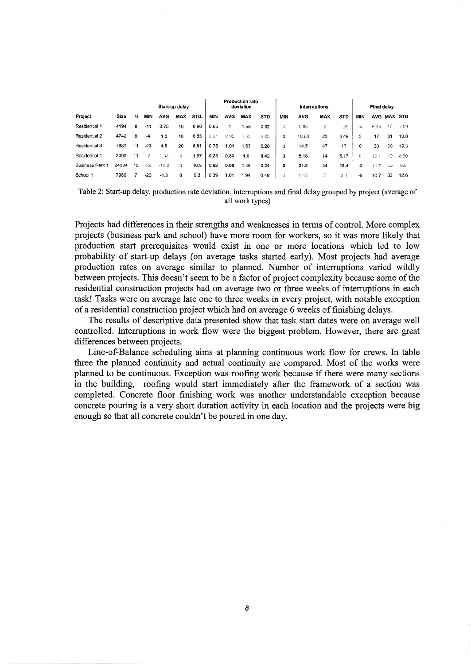|                        |       |    |       |            | Start-up delay |      | <b>Production rate</b><br>deviation |            |            |            |     | Final delay |            |            |          |            |                |      |
|------------------------|-------|----|-------|------------|----------------|------|-------------------------------------|------------|------------|------------|-----|-------------|------------|------------|----------|------------|----------------|------|
| Project                | Size  | N  | MIN   | <b>AVG</b> | <b>MAX</b>     | STD. | MIN                                 | <b>AVG</b> | <b>MAX</b> | <b>STD</b> | MIN | <b>AVG</b>  | <b>MAX</b> | <b>STD</b> | MIN      | <b>AVG</b> | <b>MAX STD</b> |      |
| Residential 1          | 4194  | 8  | $-11$ | 3.75       | 10             | 6.96 | 0.65                                |            | .58        | 0.32       | Õ.  | 0.88.       | 3.         | 1.26       | -6       | 6.25       | 18             | 7.09 |
| Residential 2          | 4742  | 8  | -4    | 1.5        | 16             | 6.55 | 0.81                                | 0.95       | 1.52       | 0.25       | 3.  | 10.88       | 23         | 6.49       | 3        | 17         | 31             | 10.8 |
| Residential 3          | 7687  | 11 | $-13$ | 4.8        | 20             | 8.81 | 0.75                                | 1.01       | 1.63       | 0.28       | 0   | 14.5        | 47         | 17         | $\Omega$ | 30         | 60             | 19.3 |
| Residential 4          | 3000  | 11 | -2    | 1.36       | 4              | 1.57 | 0.28                                | 0.83       | 1.6        | 0.42       | 0   | 5.18        | 14         | 5.17       | G.       | 10.1       | 19             | 6.89 |
| <b>Business Park 1</b> | 24384 | 10 | -29   | $-10.2$    | Ġ.             | 10.3 | 0.62                                | 0.96       | 1.46       | 0.24       | 0   | 21.8        | 44         | 15.4       | 46       | 117        | -20            | 8.9  |
| School 1               | 7980  |    | $-20$ | $-1.3$     | 8              | 9.3  | 0.39                                | 1.01       | .94        | 0.48       | 0.  | 1.43        | 5          | 2.1        | -6       | 10.7       | 32             | 12.6 |

Table 2: Start-up delay, production rate deviation, interruptions and final delay grouped by project (average of all work types)

Projects had differences in their strengths and weaknesses in terms of control. More complex projects (business park and school) have more room for workers, so it was more likely that production start prerequisites would exist in one or more locations which led to low probability of start-up delays (on average tasks started early). Most projects had average production rates on average similar to planned. Number of interruptions varied wildly between projects. This doesn't seem to be a factor of project complexity because some of the residential construction projects had on average two or three weeks of interruptions in each task! Tasks were on average late one to three weeks in every project, with notable exception of a residential construction project which had on average 6 weeks of finishing delays.

The results of descriptive data presented show that task start dates were on average well controlled. Interruptions in work flow were the biggest problem. However, there are great differences between projects.

Line-of-Balance scheduling aims at planning continuous work flow for crews. In table three the planned continuity and actual continuity are compared. Most of the works were planned to be continuous. Exception was roofing work because if there were many sections in the building, roofing would start immediately after the framework of a section was completed. Concrete floor finishing work was another understandable exception because concrete pouring is a very short duration activity in each location and the projects were big enough so that all concrete couldn't be poured in one day.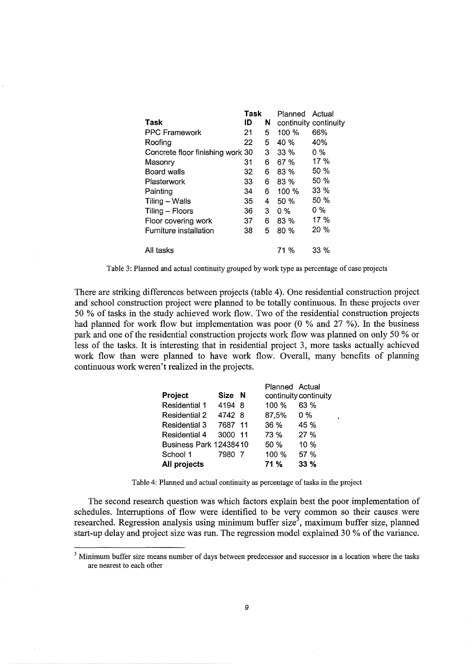|                                  | <b>Task</b> |   | Planned Actual        |        |
|----------------------------------|-------------|---|-----------------------|--------|
| Task                             | ID          | N | continuity continuity |        |
| <b>PPC Framework</b>             | 21          | 5 | 100%                  | 66%    |
| Roofing                          | 22          | 5 | 40 %                  | 40%    |
| Concrete floor finishing work 30 |             | 3 | $33\%$                | 0 %    |
| Masonry                          | 31          | 6 | 67 %                  | 17 %   |
| Board walls                      | 32          | 6 | 83 %                  | 50%    |
| Plasterwork                      | 33          | 6 | 83 %                  | 50%    |
| Painting                         | 34          | 6 | 100%                  | $33\%$ |
| Tiling – Walls                   | 35          | 4 | 50 %                  | 50%    |
| Tiling – Floors                  | 36          | 3 | $0\%$                 | 0 %    |
| Floor covering work              | 37          | 6 | $83\%$                | 17%    |
| Furniture installation           | 38          | 5 | 80%                   | $20\%$ |
| All tasks                        |             |   | 71 %                  | 33 %   |

Table 3: Planned and actual continuity grouped by work type as percentage of case projects

There are striking differences between projects (table 4). One residential construction project and school construction project were planned to be totally continuous. In these projects over 50 % of tasks in the study achieved work flow. Two of the residential construction projects had planned for work flow but implementation was poor  $(0 \%$  and  $27 \%)$ . In the business park and one of the residential construction projects work flow was planned on only 50 % or less of the tasks. It is interesting that in residential project 3, more tasks actually achieved work flow than were planned to have work flow. Overall, many benefits of planning continuous work weren't realized in the projects.

|                               |         | Planned Actual |                       |
|-------------------------------|---------|----------------|-----------------------|
| Project                       | Size N  |                | continuity continuity |
| <b>Residential 1</b>          | 4194 8  | 100 %          | 63 %                  |
| <b>Residential 2</b>          | 4742 8  | 87,5%          | $0\%$                 |
| Residential 3                 | 7687 11 | 36 %           | 45 %                  |
| Residential 4                 | 3000 11 | 73 %           | 27%                   |
| <b>Business Park 12438410</b> |         | 50%            | 10%                   |
| School 1                      | 7980 7  | 100 %          | 57 %                  |
| All projects                  |         | 71 %           | 33%                   |

Table 4: Planned and actual continuity as percentage of tasks in the project

The second research question was which factors explain best the poor implementation of schedules. Interruptions of flow were identified to be very common so their causes were researched. Regression analysis using minimum buffer size<sup>3</sup>, maximum buffer size, planned start-up delay and project size was run. The regression model explained 30% of the variance.

<sup>&</sup>lt;sup>3</sup> Minimum buffer size means number of days between predecessor and successor in a location where the tasks are nearest to each other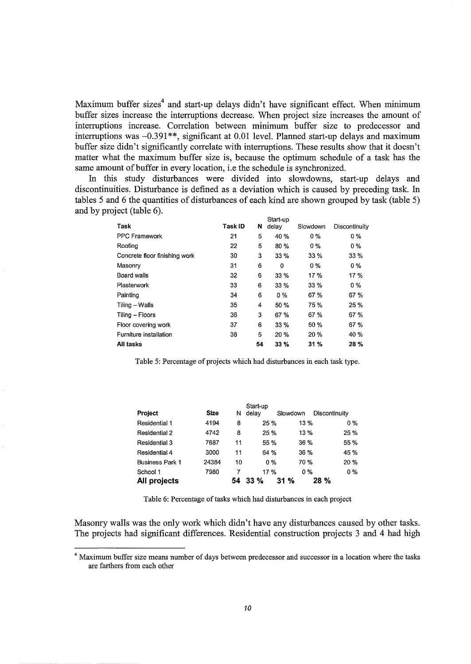Maximum buffer sizes<sup>4</sup> and start-up delays didn't have significant effect. When minimum buffer sizes increase the interruptions decrease. When project size increases the amount of interruptions increase. Correlation between minimum buffer size to predecessor and interruptions was  $-0.391**$ , significant at 0.01 level. Planned start-up delays and maximum buffer size didn't significantly correlate with interruptions. These results show that it doesn't matter what the maximum buffer size is, because the optimum schedule of a task has the same amount of buffer in every location, i.e the schedule is synchronized.

In this study disturbances were divided into slowdowns, start-up delays and discontinuities. Disturbance is defined as a deviation which is caused by preceding task. In tables 5 and 6 the quantities of disturbances of each kind are shown grouped by task (table 5) and by project (table 6).

|                               |         |    | Start-up |          |               |
|-------------------------------|---------|----|----------|----------|---------------|
| Task                          | Task ID | N  | delay    | Slowdown | Discontinuity |
| <b>PPC Framework</b>          | 21      | 5  | 40 %     | $0\%$    | 0%            |
| Roofing                       | 22      | 5  | 80%      | $0\%$    | 0 %           |
| Concrete floor finishing work | 30      | 3  | 33%      | 33%      | 33 %          |
| Masonry                       | 31      | 6  | 0        | 0 %      | 0 %           |
| Board walls                   | 32      | 6  | 33%      | 17%      | 17 %          |
| Plasterwork                   | 33      | 6  | 33 %     | 33%      | 0 %           |
| Painting                      | 34      | 6  | $0\%$    | 67 %     | 67 %          |
| Tiling – Walls                | 35      | 4  | 50 %     | 75 %     | 25 %          |
| Tiling - Floors               | 36      | 3  | 67%      | 67%      | 67%           |
| Floor covering work           | 37      | 6  | 33 %     | 50 %     | 67 %          |
| Furniture installation        | 38      | 5  | 20%      | 20 %     | 40 %          |
| All tasks                     |         | 54 | 33%      | 31%      | 28%           |

Table 5: Percentage of projects which had disturbances in each task type.

| <b>Project</b>         | <b>Size</b> | Ν  | Start-up<br>delav | Slowdown | Discontinuity |
|------------------------|-------------|----|-------------------|----------|---------------|
|                        |             |    |                   |          |               |
| Residential 1          | 4194        | 8  | 25%               | 13 %     | $0\%$         |
| Residential 2          | 4742        | 8  | 25 %              | 13%      | 25 %          |
| <b>Residential 3</b>   | 7687        | 11 | 55 %              | 36 %     | 55 %          |
| Residential 4          | 3000        | 11 | 64 %              | 36 %     | 45 %          |
| <b>Business Park 1</b> | 24384       | 10 | 0 %               | 70 %     | 20%           |
| School 1               | 7980        | 7  | 17 %              | 0 %      | $0\%$         |
| All projects           |             | 54 | 33%               | 31%      | 28 %          |

Table 6: Percentage of tasks which had disturbances in each project

Masonry walls was the only work which didn't have any disturbances caused by other tasks. The projects had significant differences. Residential construction projects 3 and 4 had high

<sup>4</sup> Maximum buffer size means number of days between predecessor and successor in a location where the tasks are farthers from each other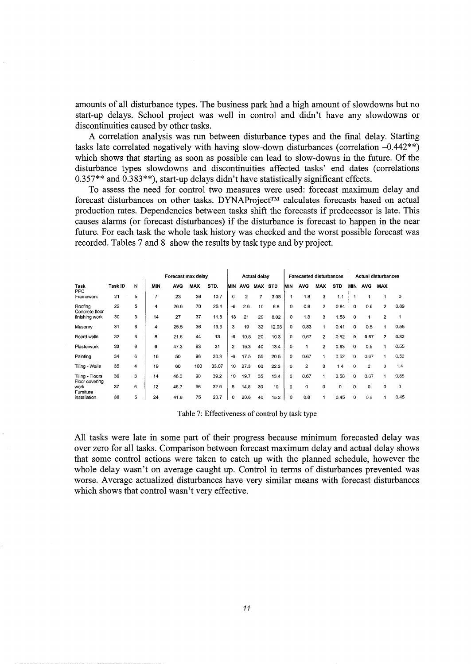amounts of all disturbance types. The business park had a high amount of slowdowns but no start-up delays. School project was well in control and didn't have any slowdowns or discontinuities caused by other tasks.

A correlation analysis was run between disturbance types and the final delay. Starting tasks late correlated negatively with having slow-down disturbances (correlation -0.442\*\*) which shows that starting as soon as possible can lead to slow-downs in the future. Of the disturbance types slowdowns and discontinuities affected tasks' end dates (correlations 0.357\*\* and 0.383\*\*), start-up delays didn't have statistically significant effects.

To assess the need for control two measures were used: forecast maximum delay and forecast disturbances on other tasks. DYNAProject™ calculates forecasts based on actual production rates. Dependencies between tasks shift the forecasts if predecessor is late. This causes alarms (or forecast disturbances) if the disturbance is forecast to happen in the near future. For each task the whole task history was checked and the worst possible forecast was recorded. Tables 7 and 8 show the results by task type and by project.

|                                   |         |   |                | Forecast max delay |            | <b>Actual delay</b> |                |                |         | Forecasted disturbances |          | Actual disturbances |                |            |          |                |                |      |
|-----------------------------------|---------|---|----------------|--------------------|------------|---------------------|----------------|----------------|---------|-------------------------|----------|---------------------|----------------|------------|----------|----------------|----------------|------|
| Task<br>PPC                       | Task ID | N | MIN            | <b>AVG</b>         | <b>MAX</b> | STD.                | <b>MIN</b>     | <b>AVG</b>     | MAX STD |                         | MIN      | <b>AVG</b>          | <b>MAX</b>     | <b>STD</b> | MIN      | <b>AVG</b>     | <b>MAX</b>     |      |
| Framework                         | 21      | 5 | $\overline{7}$ | 23                 | 36         | 10.7                | 0              | $\overline{2}$ | 7       | 3.08                    |          | 1.8                 | 3              | 1.1        |          |                |                | 0    |
| Roofing<br>Concrete floor         | 22      | 5 | 4              | 26.6               | 70         | 25.4                | -6             | 2.6            | 10      | 6.8                     | 0        | 0.8                 | $\overline{2}$ | 0.84       | 0        | 0.6            | $\overline{2}$ | 0.89 |
| finishing work                    | 30      | 3 | 14             | 27                 | 37         | 11.8                | 13             | 21             | 29      | 8.02                    | 0        | 1.3                 | 3              | 1.53       | 0        | 1              | $\overline{2}$ |      |
| Masonry                           | 31      | 6 | 4              | 25.5               | 36         | 13.3                | 3              | 19             | 32      | 12.08                   | 0        | 0.83                | 1              | 0.41       | $\Omega$ | 0.5            | 1              | 0.55 |
| Board walls                       | 32      | 6 | 8              | 21.8               | 44         | 13                  | $-6$           | 10.5           | 20      | 10.3                    | 0        | 0.67                | $\overline{2}$ | 0.82       | o        | 0.67           | 2.             | 0.82 |
| Plasterwork                       | 33      | 6 | 6              | 47.3               | 93         | 31                  | $\overline{2}$ | 15.3           | 40      | 13.4                    | $\Omega$ | 1                   | $\overline{2}$ | 0.63       | 0        | 0.5            | 1              | 0.55 |
| Painting                          | 34      | 6 | 16             | 50                 | 96         | 30.3                | -6             | 17.5           | 55      | 20.5                    | 0        | 0.67                | 1              | 0.52       | 0        | 0.67           |                | 0.52 |
| Tiling - Walls                    | 35      | 4 | 19             | 60                 | 100        | 33.07               | 10             | 27.3           | 60      | 22.3                    | $\Omega$ | $\overline{2}$      | 3              | 1.4        | 0        | $\overline{c}$ | 3              | 1.4  |
| Tiling - Floors<br>Floor covering | 36      | 3 | 14             | 46.3               | 90         | 39.2                | 10             | 197            | 35      | 13.4                    | 0        | 0.67                | 1              | 0.58       | 0        | 0.67           |                | 0.58 |
| work<br>Furniture                 | 37      | 6 | 12             | 46.7               | 96         | 32.9                | 5              | 14.8           | 30      | 10                      | 0        | $\circ$             | 0              | 0          | 0        | $\mathbf 0$    | 0              | 0    |
| installation                      | 38      | 5 | 24             | 41.8               | 75         | 20.7                | $\mathbf 0$    | 20.6           | 40      | 15.2                    | o        | 0.8                 | 1              | 0.45       | 0        | 0.8            |                | 0.45 |

Table 7: Effectiveness of control by task type

All tasks were late in some part of their progress because minimum forecasted delay was over zero for all tasks. Comparison between forecast maximum delay and actual delay shows that some control actions were taken to catch up with the planned schedule, however the whole delay wasn't on average caught up. Control in terms of disturbances prevented was worse. Average actualized disturbances have very similar means with forecast disturbances which shows that control wasn't very effective.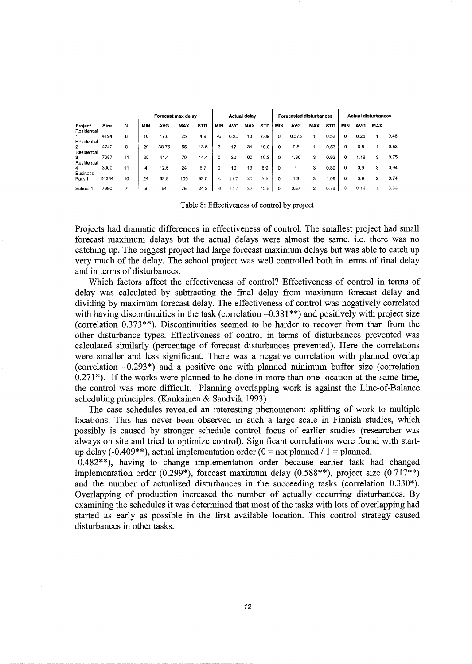|                           |       |    | <b>Actual delay</b> |       |            | <b>Forecasted disturbances</b> |     | <b>Actual disturbances</b> |            |            |     |            |            |            |          |            |                |      |
|---------------------------|-------|----|---------------------|-------|------------|--------------------------------|-----|----------------------------|------------|------------|-----|------------|------------|------------|----------|------------|----------------|------|
| Project<br>Residential    | Size  | Ν  | MIN                 | AVG   | <b>MAX</b> | STD.                           | MIN | <b>AVG</b>                 | <b>MAX</b> | <b>STD</b> | MIN | <b>AVG</b> | <b>MAX</b> | <b>STD</b> | MIN      | <b>AVG</b> | <b>MAX</b>     |      |
|                           | 4194  | 8  | 10                  | 17.8  | 25         | 4.9                            | -6  | 6.25                       | 18         | 7.09       | 0   | 0.375      |            | 0.52       | $\Omega$ | 0.25       |                | 0.46 |
| Residential<br>2          | 4742  | 8  | 20                  | 38.75 | 55         | 13.5                           | з   | 17                         | 31         | 10.8       | 0   | 0.5        |            | 0.53       | ٥        | 0.5        |                | 0.53 |
| Residential<br>3          | 7687  | 11 | 25                  | 41.4  | 70         | 14.4                           | 0   | 30                         | 60         | 19.3       | 0   | 1.36       | 3          | 0.92       | ٥        | 1.18       | 3              | 0.75 |
| Residential<br>4          | 3000  | 11 | 4                   | 12.6  | 24         | 6.7                            | 0   | 10                         | 19         | 6.9        | 0   |            | з          | 0.89       | 0        | 0.9        | 3              | 0.94 |
| <b>Business</b><br>Park 1 | 24384 | 10 | 24                  | 63.8  | 100        | 33.5                           | -G  | 11.7                       | 20         | 89         | 0   | 1.3        | 3          | 1.06       | 0        | 0.9        | $\overline{2}$ | 0.74 |
| School 1                  | 7980  |    | 8                   | 54    | 75         | 24.3                           | -6  | 10.                        | 32         | 12.6       | 0   | 0.57       | 2          | 0.79       | Û        | 0.14       |                | 0.38 |

Table 8: Effectiveness of control by project

Projects had dramatic differences in effectiveness of control. The smallest project had small forecast maximum delays but the actual delays were almost the same, i.e. there was no catching up. The biggest project had large forecast maximum delays but was able to catch up very much of the delay. The school project was well controlled both in terms of final delay and in terms of disturbances.

Which factors affect the effectiveness of control? Effectiveness of control in terms of delay was calculated by subtracting the final delay from maximum forecast delay and dividing by maximum forecast delay. The effectiveness of control was negatively correlated with having discontinuities in the task (correlation  $-0.381**$ ) and positively with project size (correlation 0.373\*\*). Discontinuities seemed to be harder to recover from than from the other disturbance types. Effectiveness of control in terms of disturbances prevented was calculated similarly (percentage of forecast disturbances prevented). Here the correlations were smaller and less significant. There was a negative correlation with planned overlap (correlation  $-0.293^*$ ) and a positive one with planned minimum buffer size (correlation  $0.271^*$ ). If the works were planned to be done in more than one location at the same time, the control was more difficult. Planning overlapping work is against the Line-of-Balance scheduling principles. (Kankainen & Sandvik 1993)

The case schedules revealed an interesting phenomenon: splitting of work to multiple locations. This has never been observed in such a large scale in Finnish studies, which possibly is caused by stronger schedule control focus of earlier studies (researcher was always on site and tried to optimize control). Significant correlations were found with startup delay (-0.409\*\*), actual implementation order (0 = not planned / 1 = planned,

-0.482\*\*), having to change implementation order because earlier task had changed implementation order  $(0.299^*)$ , forecast maximum delay  $(0.588^{**})$ , project size  $(0.717^{**})$ and the number of actualized disturbances in the succeeding tasks (correlation 0.330\*). Overlapping of production increased the number of actually occurring disturbances. By examining the schedules it was determined that most of the tasks with lots of overlapping had started as early as possible in the first available location. This control strategy caused disturbances in other tasks.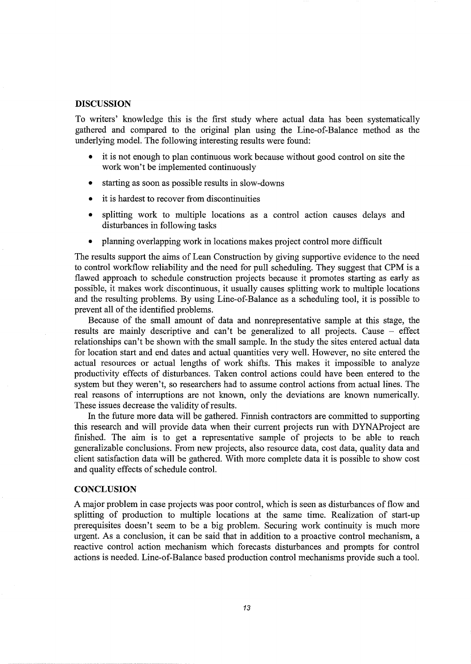#### **DISCUSSION**

To writers' knowledge this is the first study where actual data has been systematically gathered and compared to the original plan using the Line-of-Balance method as the underlying model. The following interesting results were found:

- it is not enough to plan continuous work because without good control on site the work won't be implemented continuously
- starting as soon as possible results in slow-downs
- it is hardest to recover from discontinuities
- splitting work to multiple locations as a control action causes delays and disturbances in following tasks
- planning overlapping work in locations makes project control more difficult

The results support the aims of Lean Construction by giving supportive evidence to the need to control workflow reliability and the need for pull scheduling. They suggest that CPM is a flawed approach to schedule construction projects because it promotes starting as early as possible, it makes work discontinuous, it usually causes splitting work to multiple locations and the resulting problems. By using Line-of-Balance as a scheduling tool, it is possible to prevent all of the identified problems.

Because of the small amount of data and nonrepresentative sample at this stage, the results are mainly descriptive and can't be generalized to all projects. Cause - effect relationships can't be shown with the small sample. In the study the sites entered actual data for location start and end dates and actual quantities very well. However, no site entered the actual resources or actual lengths of work shifts. This makes it impossible to analyze productivity effects of disturbances. Taken control actions could have been entered to the system but they weren't, so researchers had to assume control actions from actual lines. The real reasons of interruptions are not known, only the deviations are known numerically. These issues decrease the validity of results.

In the future more data will be gathered. Finnish contractors are committed to supporting this research and will provide data when their current projects run with DYNAProject are finished. The aim is to get a representative sample of projects to be able to reach generalizable conclusions. From new projects, also resource data, cost data, quality data and client satisfaction data will be gathered. With more complete data it is possible to show cost and quality effects of schedule control.

### **CONCLUSION**

A major problem in case projects was poor control, which is seen as disturbances of flow and splitting of production to multiple locations at the same time. Realization of start-up prerequisites doesn't seem to be a big problem. Securing work continuity is much more urgent. As a conclusion, it can be said that in addition to a proactive control mechanism, a reactive control action mechanism which forecasts disturbances and prompts for control actions is needed. Line-of-Balance based production control mechanisms provide such a tool.